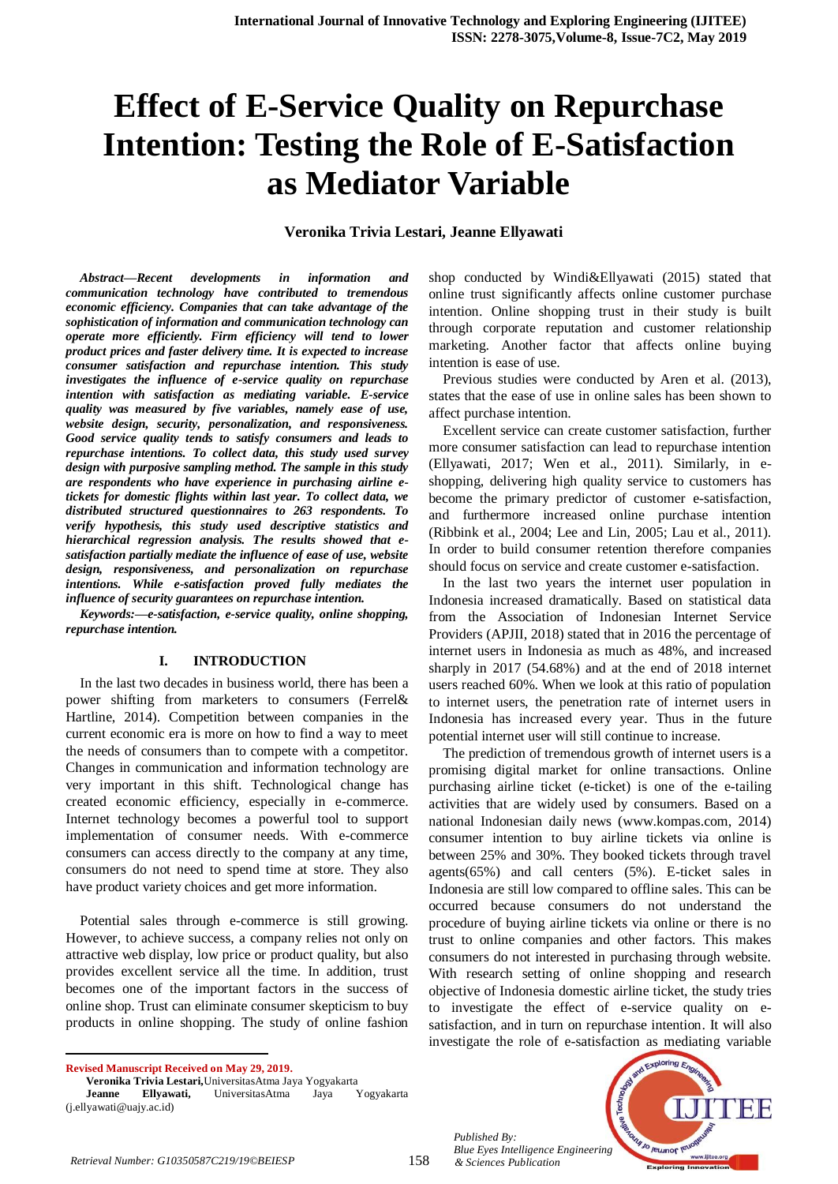# **Effect of E-Service Quality on Repurchase Intention: Testing the Role of E-Satisfaction as Mediator Variable**

#### **Veronika Trivia Lestari, Jeanne Ellyawati**

*Abstract—Recent developments in information and communication technology have contributed to tremendous economic efficiency. Companies that can take advantage of the sophistication of information and communication technology can operate more efficiently. Firm efficiency will tend to lower product prices and faster delivery time. It is expected to increase consumer satisfaction and repurchase intention. This study investigates the influence of e-service quality on repurchase intention with satisfaction as mediating variable. E-service quality was measured by five variables, namely ease of use, website design, security, personalization, and responsiveness. Good service quality tends to satisfy consumers and leads to repurchase intentions. To collect data, this study used survey design with purposive sampling method. The sample in this study are respondents who have experience in purchasing airline etickets for domestic flights within last year. To collect data, we distributed structured questionnaires to 263 respondents. To verify hypothesis, this study used descriptive statistics and hierarchical regression analysis. The results showed that esatisfaction partially mediate the influence of ease of use, website design, responsiveness, and personalization on repurchase intentions. While e-satisfaction proved fully mediates the influence of security guarantees on repurchase intention.*

*Keywords:—e-satisfaction, e-service quality, online shopping, repurchase intention.*

#### **I. INTRODUCTION**

In the last two decades in business world, there has been a power shifting from marketers to consumers (Ferrel& Hartline, 2014). Competition between companies in the current economic era is more on how to find a way to meet the needs of consumers than to compete with a competitor. Changes in communication and information technology are very important in this shift. Technological change has created economic efficiency, especially in e-commerce. Internet technology becomes a powerful tool to support implementation of consumer needs. With e-commerce consumers can access directly to the company at any time, consumers do not need to spend time at store. They also have product variety choices and get more information.

Potential sales through e-commerce is still growing. However, to achieve success, a company relies not only on attractive web display, low price or product quality, but also provides excellent service all the time. In addition, trust becomes one of the important factors in the success of online shop. Trust can eliminate consumer skepticism to buy products in online shopping. The study of online fashion

shop conducted by Windi&Ellyawati (2015) stated that online trust significantly affects online customer purchase intention. Online shopping trust in their study is built through corporate reputation and customer relationship marketing. Another factor that affects online buying intention is ease of use.

Previous studies were conducted by Aren et al. (2013), states that the ease of use in online sales has been shown to affect purchase intention.

Excellent service can create customer satisfaction, further more consumer satisfaction can lead to repurchase intention (Ellyawati, 2017; Wen et al., 2011). Similarly, in eshopping, delivering high quality service to customers has become the primary predictor of customer e-satisfaction, and furthermore increased online purchase intention (Ribbink et al., 2004; Lee and Lin, 2005; Lau et al., 2011). In order to build consumer retention therefore companies should focus on service and create customer e-satisfaction.

In the last two years the internet user population in Indonesia increased dramatically. Based on statistical data from the Association of Indonesian Internet Service Providers (APJII, 2018) stated that in 2016 the percentage of internet users in Indonesia as much as 48%, and increased sharply in 2017 (54.68%) and at the end of 2018 internet users reached 60%. When we look at this ratio of population to internet users, the penetration rate of internet users in Indonesia has increased every year. Thus in the future potential internet user will still continue to increase.

The prediction of tremendous growth of internet users is a promising digital market for online transactions. Online purchasing airline ticket (e-ticket) is one of the e-tailing activities that are widely used by consumers. Based on a national Indonesian daily news (www.kompas.com, 2014) consumer intention to buy airline tickets via online is between 25% and 30%. They booked tickets through travel agents(65%) and call centers (5%). E-ticket sales in Indonesia are still low compared to offline sales. This can be occurred because consumers do not understand the procedure of buying airline tickets via online or there is no trust to online companies and other factors. This makes consumers do not interested in purchasing through website. With research setting of online shopping and research objective of Indonesia domestic airline ticket, the study tries to investigate the effect of e-service quality on esatisfaction, and in turn on repurchase intention. It will also investigate the role of e-satisfaction as mediating variable

`FE

1 Jo Jeumor le

 $\ddot{\phantom{a}}$ 

*Published By:*

*Blue Eyes Intelligence Engineering* 

**Revised Manuscript Received on May 29, 2019.**

**Veronika Trivia Lestari,**UniversitasAtma Jaya Yogyakarta **Jeanne Ellyawati,** UniversitasAtma Jaya Yogyakarta (j.ellyawati@uajy.ac.id)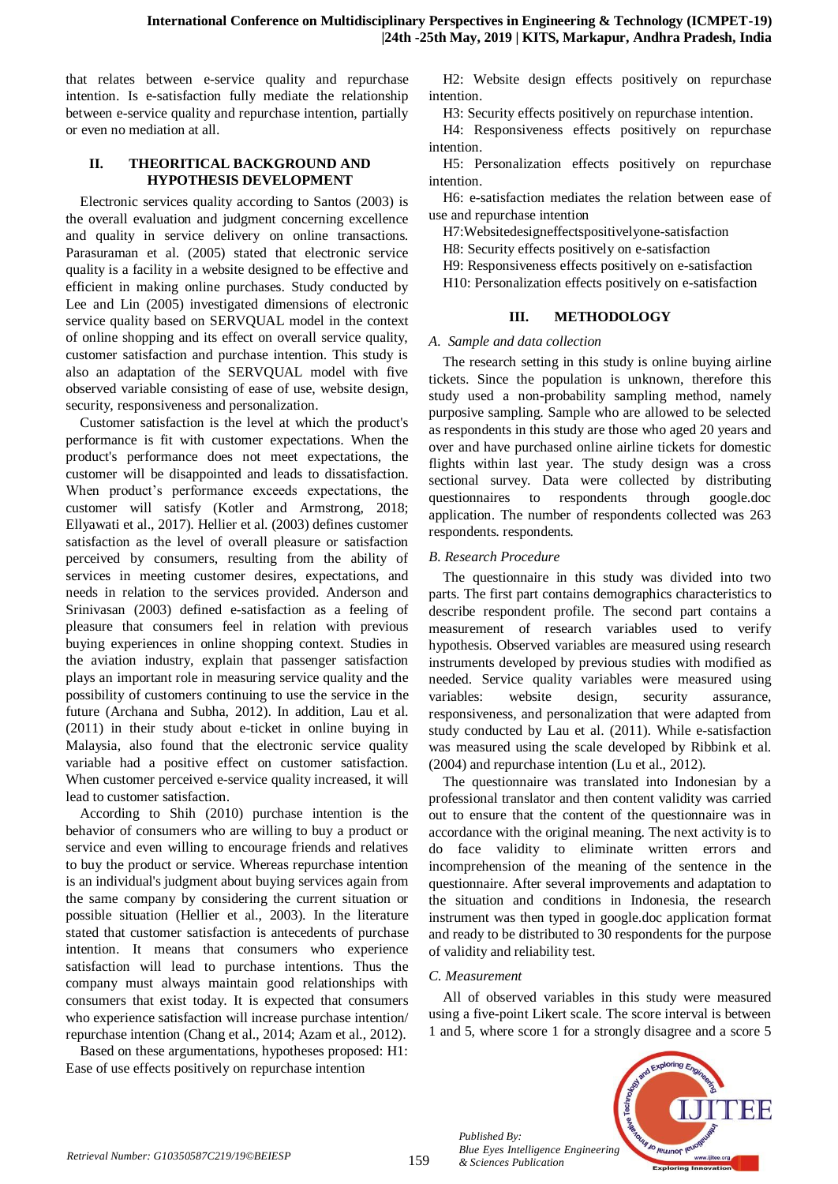that relates between e-service quality and repurchase intention. Is e-satisfaction fully mediate the relationship between e-service quality and repurchase intention, partially or even no mediation at all.

## **II. THEORITICAL BACKGROUND AND HYPOTHESIS DEVELOPMENT**

Electronic services quality according to Santos (2003) is the overall evaluation and judgment concerning excellence and quality in service delivery on online transactions. Parasuraman et al. (2005) stated that electronic service quality is a facility in a website designed to be effective and efficient in making online purchases. Study conducted by Lee and Lin (2005) investigated dimensions of electronic service quality based on SERVQUAL model in the context of online shopping and its effect on overall service quality, customer satisfaction and purchase intention. This study is also an adaptation of the SERVQUAL model with five observed variable consisting of ease of use, website design, security, responsiveness and personalization.

Customer satisfaction is the level at which the product's performance is fit with customer expectations. When the product's performance does not meet expectations, the customer will be disappointed and leads to dissatisfaction. When product's performance exceeds expectations, the customer will satisfy (Kotler and Armstrong, 2018; Ellyawati et al., 2017). Hellier et al. (2003) defines customer satisfaction as the level of overall pleasure or satisfaction perceived by consumers, resulting from the ability of services in meeting customer desires, expectations, and needs in relation to the services provided. Anderson and Srinivasan (2003) defined e-satisfaction as a feeling of pleasure that consumers feel in relation with previous buying experiences in online shopping context. Studies in the aviation industry, explain that passenger satisfaction plays an important role in measuring service quality and the possibility of customers continuing to use the service in the future (Archana and Subha, 2012). In addition, Lau et al. (2011) in their study about e-ticket in online buying in Malaysia, also found that the electronic service quality variable had a positive effect on customer satisfaction. When customer perceived e-service quality increased, it will lead to customer satisfaction.

According to Shih (2010) purchase intention is the behavior of consumers who are willing to buy a product or service and even willing to encourage friends and relatives to buy the product or service. Whereas repurchase intention is an individual's judgment about buying services again from the same company by considering the current situation or possible situation (Hellier et al., 2003). In the literature stated that customer satisfaction is antecedents of purchase intention. It means that consumers who experience satisfaction will lead to purchase intentions. Thus the company must always maintain good relationships with consumers that exist today. It is expected that consumers who experience satisfaction will increase purchase intention/ repurchase intention (Chang et al., 2014; Azam et al., 2012).

Based on these argumentations, hypotheses proposed: H1: Ease of use effects positively on repurchase intention

H2: Website design effects positively on repurchase intention.

H3: Security effects positively on repurchase intention.

H4: Responsiveness effects positively on repurchase intention.

H5: Personalization effects positively on repurchase intention.

H6: e-satisfaction mediates the relation between ease of use and repurchase intention

H7:Websitedesigneffectspositivelyone-satisfaction

H8: Security effects positively on e-satisfaction

H9: Responsiveness effects positively on e-satisfaction

H10: Personalization effects positively on e-satisfaction

## **III. METHODOLOGY**

## *A. Sample and data collection*

The research setting in this study is online buying airline tickets. Since the population is unknown, therefore this study used a non-probability sampling method, namely purposive sampling. Sample who are allowed to be selected as respondents in this study are those who aged 20 years and over and have purchased online airline tickets for domestic flights within last year. The study design was a cross sectional survey. Data were collected by distributing questionnaires to respondents through google.doc application. The number of respondents collected was 263 respondents. respondents.

## *B. Research Procedure*

The questionnaire in this study was divided into two parts. The first part contains demographics characteristics to describe respondent profile. The second part contains a measurement of research variables used to verify hypothesis. Observed variables are measured using research instruments developed by previous studies with modified as needed. Service quality variables were measured using variables: website design, security assurance, responsiveness, and personalization that were adapted from study conducted by Lau et al. (2011). While e-satisfaction was measured using the scale developed by Ribbink et al. (2004) and repurchase intention (Lu et al., 2012).

The questionnaire was translated into Indonesian by a professional translator and then content validity was carried out to ensure that the content of the questionnaire was in accordance with the original meaning. The next activity is to do face validity to eliminate written errors and incomprehension of the meaning of the sentence in the questionnaire. After several improvements and adaptation to the situation and conditions in Indonesia, the research instrument was then typed in google.doc application format and ready to be distributed to 30 respondents for the purpose of validity and reliability test.

## *C. Measurement*

All of observed variables in this study were measured using a five-point Likert scale. The score interval is between 1 and 5, where score 1 for a strongly disagree and a score 5



*Published By: Blue Eyes Intelligence Engineering*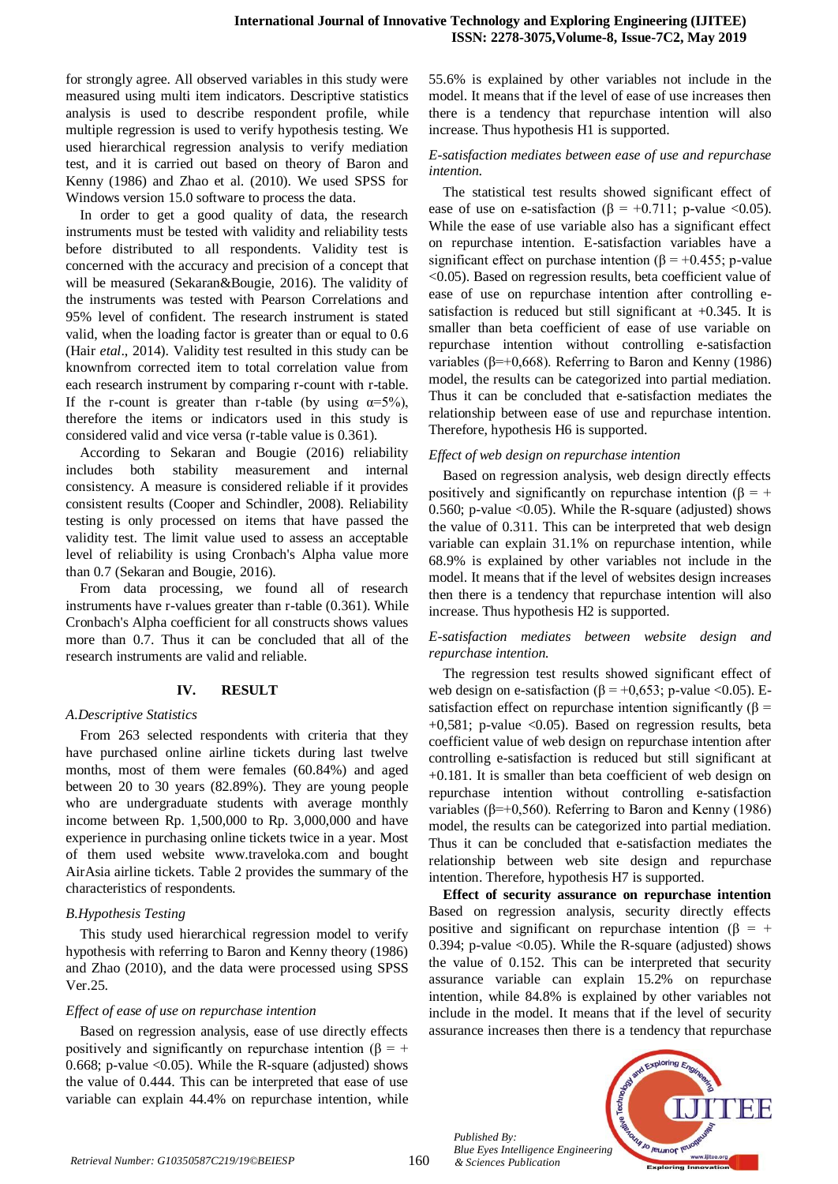for strongly agree. All observed variables in this study were measured using multi item indicators. Descriptive statistics analysis is used to describe respondent profile, while multiple regression is used to verify hypothesis testing. We used hierarchical regression analysis to verify mediation test, and it is carried out based on theory of Baron and Kenny (1986) and Zhao et al. (2010). We used SPSS for Windows version 15.0 software to process the data.

In order to get a good quality of data, the research instruments must be tested with validity and reliability tests before distributed to all respondents. Validity test is concerned with the accuracy and precision of a concept that will be measured (Sekaran&Bougie, 2016). The validity of the instruments was tested with Pearson Correlations and 95% level of confident. The research instrument is stated valid, when the loading factor is greater than or equal to 0.6 (Hair *etal*., 2014). Validity test resulted in this study can be knownfrom corrected item to total correlation value from each research instrument by comparing r-count with r-table. If the r-count is greater than r-table (by using  $\alpha = 5\%$ ), therefore the items or indicators used in this study is considered valid and vice versa (r-table value is 0.361).

According to Sekaran and Bougie (2016) reliability includes both stability measurement and internal consistency. A measure is considered reliable if it provides consistent results (Cooper and Schindler, 2008). Reliability testing is only processed on items that have passed the validity test. The limit value used to assess an acceptable level of reliability is using Cronbach's Alpha value more than 0.7 (Sekaran and Bougie, 2016).

From data processing, we found all of research instruments have r-values greater than r-table (0.361). While Cronbach's Alpha coefficient for all constructs shows values more than 0.7. Thus it can be concluded that all of the research instruments are valid and reliable.

## **IV. RESULT**

#### *A.Descriptive Statistics*

From 263 selected respondents with criteria that they have purchased online airline tickets during last twelve months, most of them were females (60.84%) and aged between 20 to 30 years (82.89%). They are young people who are undergraduate students with average monthly income between Rp. 1,500,000 to Rp. 3,000,000 and have experience in purchasing online tickets twice in a year. Most of them used website www.traveloka.com and bought AirAsia airline tickets. Table 2 provides the summary of the characteristics of respondents.

## *B.Hypothesis Testing*

This study used hierarchical regression model to verify hypothesis with referring to Baron and Kenny theory (1986) and Zhao (2010), and the data were processed using SPSS Ver.25.

#### *Effect of ease of use on repurchase intention*

Based on regression analysis, ease of use directly effects positively and significantly on repurchase intention ( $\beta$  = + 0.668; p-value  $\langle 0.05 \rangle$ . While the R-square (adjusted) shows the value of 0.444. This can be interpreted that ease of use variable can explain 44.4% on repurchase intention, while 55.6% is explained by other variables not include in the model. It means that if the level of ease of use increases then there is a tendency that repurchase intention will also increase. Thus hypothesis H1 is supported.

## *E-satisfaction mediates between ease of use and repurchase intention.*

The statistical test results showed significant effect of ease of use on e-satisfaction ( $\beta = +0.711$ ; p-value <0.05). While the ease of use variable also has a significant effect on repurchase intention. E-satisfaction variables have a significant effect on purchase intention ( $\beta$  = +0.455; p-value <0.05). Based on regression results, beta coefficient value of ease of use on repurchase intention after controlling esatisfaction is reduced but still significant at +0.345. It is smaller than beta coefficient of ease of use variable on repurchase intention without controlling e-satisfaction variables ( $β=+0,668$ ). Referring to Baron and Kenny (1986) model, the results can be categorized into partial mediation. Thus it can be concluded that e-satisfaction mediates the relationship between ease of use and repurchase intention. Therefore, hypothesis H6 is supported.

#### *Effect of web design on repurchase intention*

Based on regression analysis, web design directly effects positively and significantly on repurchase intention ( $\beta$  = + 0.560; p-value  $\langle 0.05 \rangle$ . While the R-square (adjusted) shows the value of 0.311. This can be interpreted that web design variable can explain 31.1% on repurchase intention, while 68.9% is explained by other variables not include in the model. It means that if the level of websites design increases then there is a tendency that repurchase intention will also increase. Thus hypothesis H2 is supported.

#### *E-satisfaction mediates between website design and repurchase intention.*

The regression test results showed significant effect of web design on e-satisfaction ( $\beta$  = +0,653; p-value <0.05). Esatisfaction effect on repurchase intention significantly ( $\beta$  =  $+0,581$ ; p-value  $<0.05$ ). Based on regression results, beta coefficient value of web design on repurchase intention after controlling e-satisfaction is reduced but still significant at +0.181. It is smaller than beta coefficient of web design on repurchase intention without controlling e-satisfaction variables (β=+0,560). Referring to Baron and Kenny (1986) model, the results can be categorized into partial mediation. Thus it can be concluded that e-satisfaction mediates the relationship between web site design and repurchase intention. Therefore, hypothesis H7 is supported.

**Effect of security assurance on repurchase intention**  Based on regression analysis, security directly effects positive and significant on repurchase intention ( $\beta$  = + 0.394; p-value  $<$  0.05). While the R-square (adjusted) shows the value of 0.152. This can be interpreted that security assurance variable can explain 15.2% on repurchase intention, while 84.8% is explained by other variables not include in the model. It means that if the level of security assurance increases then there is a tendency that repurchase

*Published By: Blue Eyes Intelligence Engineering* 

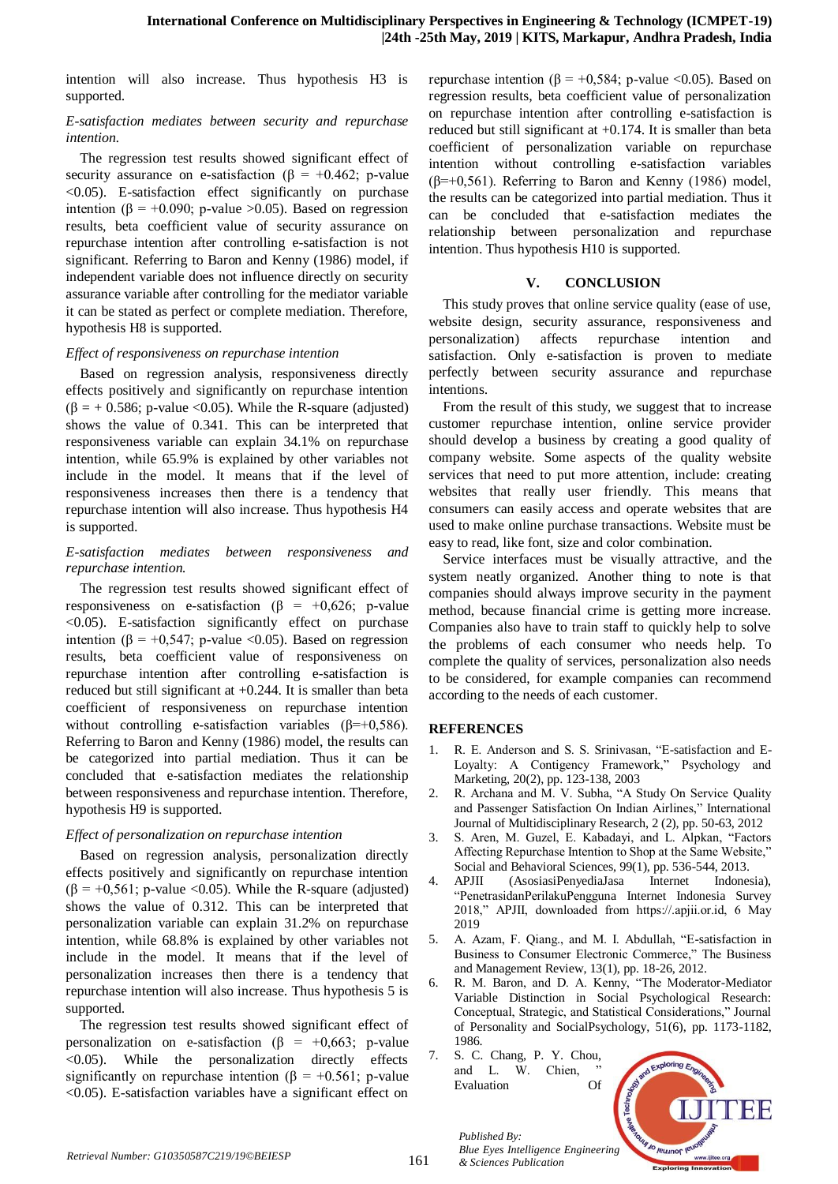intention will also increase. Thus hypothesis H3 is supported.

## *E-satisfaction mediates between security and repurchase intention.*

The regression test results showed significant effect of security assurance on e-satisfaction ( $\beta$  = +0.462; p-value <0.05). E-satisfaction effect significantly on purchase intention (β = +0.090; p-value >0.05). Based on regression results, beta coefficient value of security assurance on repurchase intention after controlling e-satisfaction is not significant. Referring to Baron and Kenny (1986) model, if independent variable does not influence directly on security assurance variable after controlling for the mediator variable it can be stated as perfect or complete mediation. Therefore, hypothesis H8 is supported.

#### *Effect of responsiveness on repurchase intention*

Based on regression analysis, responsiveness directly effects positively and significantly on repurchase intention  $(\beta = +0.586; \text{ p-value} < 0.05)$ . While the R-square (adjusted) shows the value of 0.341. This can be interpreted that responsiveness variable can explain 34.1% on repurchase intention, while 65.9% is explained by other variables not include in the model. It means that if the level of responsiveness increases then there is a tendency that repurchase intention will also increase. Thus hypothesis H4 is supported.

## *E-satisfaction mediates between responsiveness and repurchase intention.*

The regression test results showed significant effect of responsiveness on e-satisfaction ( $\beta$  = +0,626; p-value <0.05). E-satisfaction significantly effect on purchase intention ( $\beta$  = +0,547; p-value <0.05). Based on regression results, beta coefficient value of responsiveness on repurchase intention after controlling e-satisfaction is reduced but still significant at +0.244. It is smaller than beta coefficient of responsiveness on repurchase intention without controlling e-satisfaction variables ( $\beta$ =+0,586). Referring to Baron and Kenny (1986) model, the results can be categorized into partial mediation. Thus it can be concluded that e-satisfaction mediates the relationship between responsiveness and repurchase intention. Therefore, hypothesis H9 is supported.

## *Effect of personalization on repurchase intention*

Based on regression analysis, personalization directly effects positively and significantly on repurchase intention ( $\beta$  = +0,561; p-value <0.05). While the R-square (adjusted) shows the value of 0.312. This can be interpreted that personalization variable can explain 31.2% on repurchase intention, while 68.8% is explained by other variables not include in the model. It means that if the level of personalization increases then there is a tendency that repurchase intention will also increase. Thus hypothesis 5 is supported.

The regression test results showed significant effect of personalization on e-satisfaction ( $\beta$  = +0,663; p-value <0.05). While the personalization directly effects significantly on repurchase intention ( $\beta = +0.561$ ; p-value <0.05). E-satisfaction variables have a significant effect on

repurchase intention ( $\beta$  = +0.584; p-value <0.05). Based on regression results, beta coefficient value of personalization on repurchase intention after controlling e-satisfaction is reduced but still significant at +0.174. It is smaller than beta coefficient of personalization variable on repurchase intention without controlling e-satisfaction variables  $(\beta=+0.561)$ . Referring to Baron and Kenny (1986) model, the results can be categorized into partial mediation. Thus it can be concluded that e-satisfaction mediates the relationship between personalization and repurchase intention. Thus hypothesis H10 is supported.

## **V. CONCLUSION**

This study proves that online service quality (ease of use, website design, security assurance, responsiveness and personalization) affects repurchase intention and satisfaction. Only e-satisfaction is proven to mediate perfectly between security assurance and repurchase intentions.

From the result of this study, we suggest that to increase customer repurchase intention, online service provider should develop a business by creating a good quality of company website. Some aspects of the quality website services that need to put more attention, include: creating websites that really user friendly. This means that consumers can easily access and operate websites that are used to make online purchase transactions. Website must be easy to read, like font, size and color combination.

Service interfaces must be visually attractive, and the system neatly organized. Another thing to note is that companies should always improve security in the payment method, because financial crime is getting more increase. Companies also have to train staff to quickly help to solve the problems of each consumer who needs help. To complete the quality of services, personalization also needs to be considered, for example companies can recommend according to the needs of each customer.

# **REFERENCES**

- 1. R. E. Anderson and S. S. Srinivasan, "E-satisfaction and E-Loyalty: A Contigency Framework," Psychology and Marketing, 20(2), pp. 123-138, 2003
- 2. R. Archana and M. V. Subha, "A Study On Service Quality and Passenger Satisfaction On Indian Airlines," International Journal of Multidisciplinary Research, 2 (2), pp. 50-63, 2012
- 3. S. Aren, M. Guzel, E. Kabadayi, and L. Alpkan, "Factors Affecting Repurchase Intention to Shop at the Same Website," Social and Behavioral Sciences, 99(1), pp. 536-544, 2013.
- 4. APJII (AsosiasiPenyediaJasa Internet Indonesia), "PenetrasidanPerilakuPengguna Internet Indonesia Survey 2018," APJII, downloaded from https://.apjii.or.id, 6 May 2019
- 5. A. Azam, F. Qiang., and M. I. Abdullah, "E-satisfaction in Business to Consumer Electronic Commerce," The Business and Management Review, 13(1), pp. 18-26, 2012.
- 6. R. M. Baron, and D. A. Kenny, "The Moderator-Mediator Variable Distinction in Social Psychological Research: Conceptual, Strategic, and Statistical Considerations," Journal of Personality and SocialPsychology, 51(6), pp. 1173-1182, 1986.
- 7. S. C. Chang, P. Y. Chou, and L. W. Chien, "<br>Evaluation Of Evaluation

*Published By:*